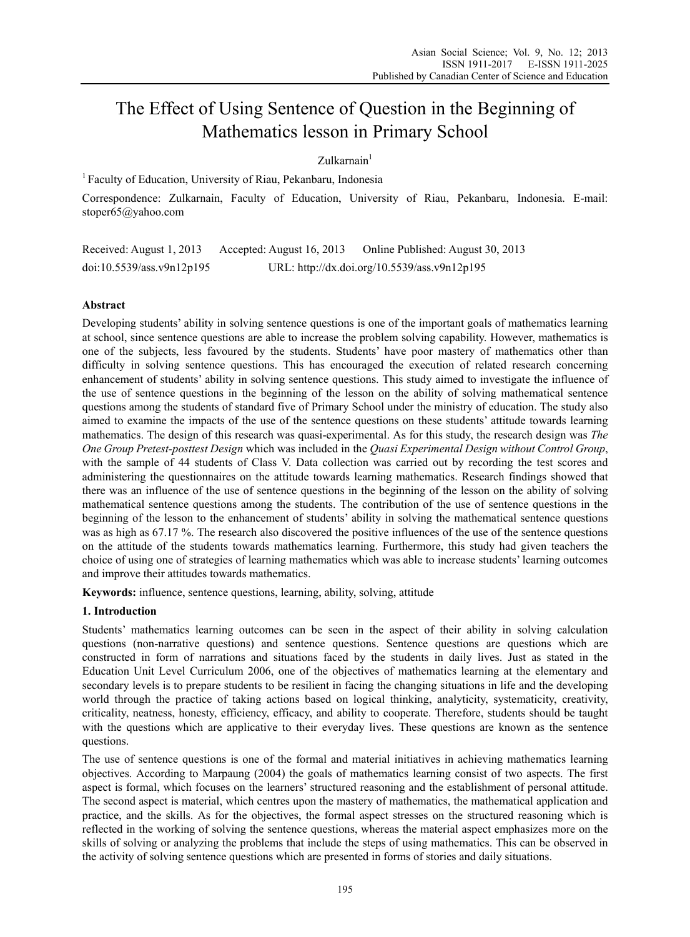# The Effect of Using Sentence of Question in the Beginning of Mathematics lesson in Primary School

# $Z$ ulkarnain<sup>1</sup>

<sup>1</sup> Faculty of Education, University of Riau, Pekanbaru, Indonesia

Correspondence: Zulkarnain, Faculty of Education, University of Riau, Pekanbaru, Indonesia. E-mail: stoper65@yahoo.com

Received: August 1, 2013 Accepted: August 16, 2013 Online Published: August 30, 2013 doi:10.5539/ass.v9n12p195 URL: http://dx.doi.org/10.5539/ass.v9n12p195

# **Abstract**

Developing students' ability in solving sentence questions is one of the important goals of mathematics learning at school, since sentence questions are able to increase the problem solving capability. However, mathematics is one of the subjects, less favoured by the students. Students' have poor mastery of mathematics other than difficulty in solving sentence questions. This has encouraged the execution of related research concerning enhancement of students' ability in solving sentence questions. This study aimed to investigate the influence of the use of sentence questions in the beginning of the lesson on the ability of solving mathematical sentence questions among the students of standard five of Primary School under the ministry of education. The study also aimed to examine the impacts of the use of the sentence questions on these students' attitude towards learning mathematics. The design of this research was quasi-experimental. As for this study, the research design was *The One Group Pretest-posttest Design* which was included in the *Quasi Experimental Design without Control Group*, with the sample of 44 students of Class V. Data collection was carried out by recording the test scores and administering the questionnaires on the attitude towards learning mathematics. Research findings showed that there was an influence of the use of sentence questions in the beginning of the lesson on the ability of solving mathematical sentence questions among the students. The contribution of the use of sentence questions in the beginning of the lesson to the enhancement of students' ability in solving the mathematical sentence questions was as high as 67.17 %. The research also discovered the positive influences of the use of the sentence questions on the attitude of the students towards mathematics learning. Furthermore, this study had given teachers the choice of using one of strategies of learning mathematics which was able to increase students' learning outcomes and improve their attitudes towards mathematics.

**Keywords:** influence, sentence questions, learning, ability, solving, attitude

# **1. Introduction**

Students' mathematics learning outcomes can be seen in the aspect of their ability in solving calculation questions (non-narrative questions) and sentence questions. Sentence questions are questions which are constructed in form of narrations and situations faced by the students in daily lives. Just as stated in the Education Unit Level Curriculum 2006, one of the objectives of mathematics learning at the elementary and secondary levels is to prepare students to be resilient in facing the changing situations in life and the developing world through the practice of taking actions based on logical thinking, analyticity, systematicity, creativity, criticality, neatness, honesty, efficiency, efficacy, and ability to cooperate. Therefore, students should be taught with the questions which are applicative to their everyday lives. These questions are known as the sentence questions.

The use of sentence questions is one of the formal and material initiatives in achieving mathematics learning objectives. According to Marpaung (2004) the goals of mathematics learning consist of two aspects. The first aspect is formal, which focuses on the learners' structured reasoning and the establishment of personal attitude. The second aspect is material, which centres upon the mastery of mathematics, the mathematical application and practice, and the skills. As for the objectives, the formal aspect stresses on the structured reasoning which is reflected in the working of solving the sentence questions, whereas the material aspect emphasizes more on the skills of solving or analyzing the problems that include the steps of using mathematics. This can be observed in the activity of solving sentence questions which are presented in forms of stories and daily situations.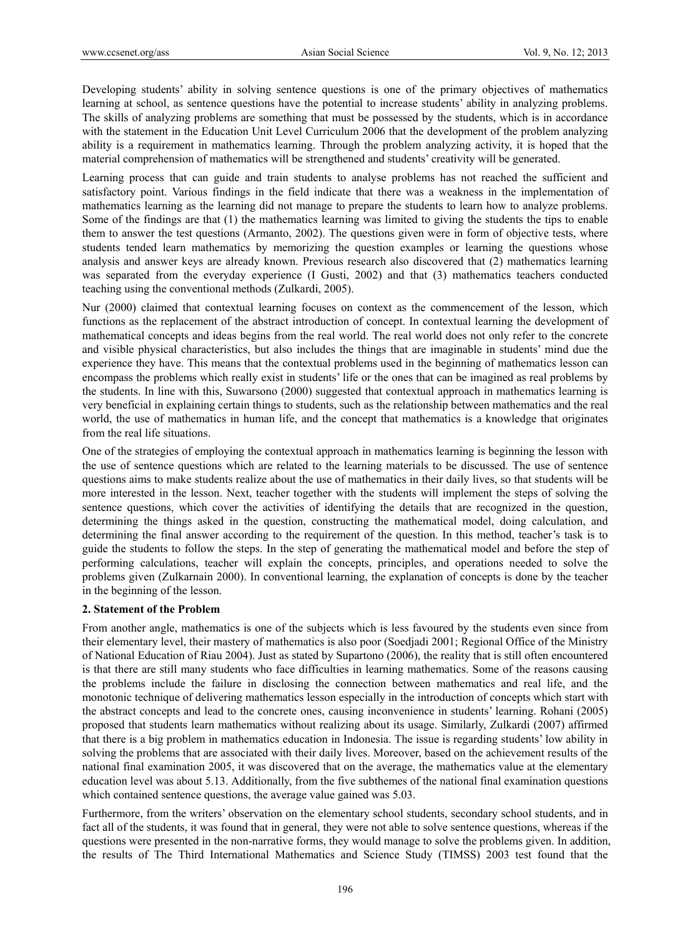Developing students' ability in solving sentence questions is one of the primary objectives of mathematics learning at school, as sentence questions have the potential to increase students' ability in analyzing problems. The skills of analyzing problems are something that must be possessed by the students, which is in accordance with the statement in the Education Unit Level Curriculum 2006 that the development of the problem analyzing ability is a requirement in mathematics learning. Through the problem analyzing activity, it is hoped that the material comprehension of mathematics will be strengthened and students' creativity will be generated.

Learning process that can guide and train students to analyse problems has not reached the sufficient and satisfactory point. Various findings in the field indicate that there was a weakness in the implementation of mathematics learning as the learning did not manage to prepare the students to learn how to analyze problems. Some of the findings are that (1) the mathematics learning was limited to giving the students the tips to enable them to answer the test questions (Armanto, 2002). The questions given were in form of objective tests, where students tended learn mathematics by memorizing the question examples or learning the questions whose analysis and answer keys are already known. Previous research also discovered that (2) mathematics learning was separated from the everyday experience (I Gusti, 2002) and that (3) mathematics teachers conducted teaching using the conventional methods (Zulkardi, 2005).

Nur (2000) claimed that contextual learning focuses on context as the commencement of the lesson, which functions as the replacement of the abstract introduction of concept. In contextual learning the development of mathematical concepts and ideas begins from the real world. The real world does not only refer to the concrete and visible physical characteristics, but also includes the things that are imaginable in students' mind due the experience they have. This means that the contextual problems used in the beginning of mathematics lesson can encompass the problems which really exist in students' life or the ones that can be imagined as real problems by the students. In line with this, Suwarsono (2000) suggested that contextual approach in mathematics learning is very beneficial in explaining certain things to students, such as the relationship between mathematics and the real world, the use of mathematics in human life, and the concept that mathematics is a knowledge that originates from the real life situations.

One of the strategies of employing the contextual approach in mathematics learning is beginning the lesson with the use of sentence questions which are related to the learning materials to be discussed. The use of sentence questions aims to make students realize about the use of mathematics in their daily lives, so that students will be more interested in the lesson. Next, teacher together with the students will implement the steps of solving the sentence questions, which cover the activities of identifying the details that are recognized in the question, determining the things asked in the question, constructing the mathematical model, doing calculation, and determining the final answer according to the requirement of the question. In this method, teacher's task is to guide the students to follow the steps. In the step of generating the mathematical model and before the step of performing calculations, teacher will explain the concepts, principles, and operations needed to solve the problems given (Zulkarnain 2000). In conventional learning, the explanation of concepts is done by the teacher in the beginning of the lesson.

#### **2. Statement of the Problem**

From another angle, mathematics is one of the subjects which is less favoured by the students even since from their elementary level, their mastery of mathematics is also poor (Soedjadi 2001; Regional Office of the Ministry of National Education of Riau 2004). Just as stated by Supartono (2006), the reality that is still often encountered is that there are still many students who face difficulties in learning mathematics. Some of the reasons causing the problems include the failure in disclosing the connection between mathematics and real life, and the monotonic technique of delivering mathematics lesson especially in the introduction of concepts which start with the abstract concepts and lead to the concrete ones, causing inconvenience in students' learning. Rohani (2005) proposed that students learn mathematics without realizing about its usage. Similarly, Zulkardi (2007) affirmed that there is a big problem in mathematics education in Indonesia. The issue is regarding students' low ability in solving the problems that are associated with their daily lives. Moreover, based on the achievement results of the national final examination 2005, it was discovered that on the average, the mathematics value at the elementary education level was about 5.13. Additionally, from the five subthemes of the national final examination questions which contained sentence questions, the average value gained was  $5.03$ .

Furthermore, from the writers' observation on the elementary school students, secondary school students, and in fact all of the students, it was found that in general, they were not able to solve sentence questions, whereas if the questions were presented in the non-narrative forms, they would manage to solve the problems given. In addition, the results of The Third International Mathematics and Science Study (TIMSS) 2003 test found that the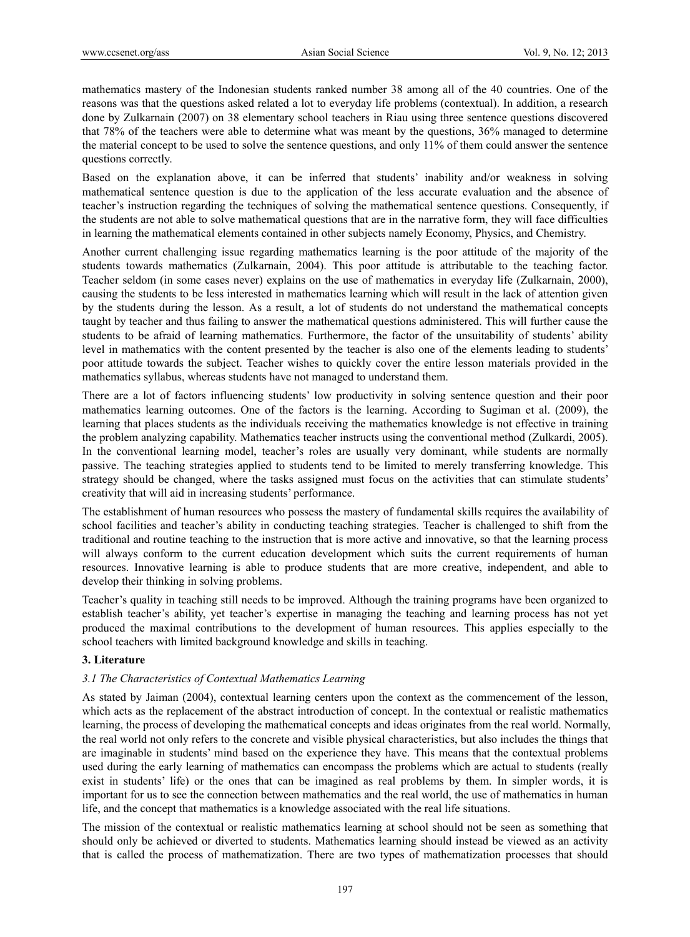mathematics mastery of the Indonesian students ranked number 38 among all of the 40 countries. One of the reasons was that the questions asked related a lot to everyday life problems (contextual). In addition, a research done by Zulkarnain (2007) on 38 elementary school teachers in Riau using three sentence questions discovered that 78% of the teachers were able to determine what was meant by the questions, 36% managed to determine the material concept to be used to solve the sentence questions, and only 11% of them could answer the sentence questions correctly.

Based on the explanation above, it can be inferred that students' inability and/or weakness in solving mathematical sentence question is due to the application of the less accurate evaluation and the absence of teacher's instruction regarding the techniques of solving the mathematical sentence questions. Consequently, if the students are not able to solve mathematical questions that are in the narrative form, they will face difficulties in learning the mathematical elements contained in other subjects namely Economy, Physics, and Chemistry.

Another current challenging issue regarding mathematics learning is the poor attitude of the majority of the students towards mathematics (Zulkarnain, 2004). This poor attitude is attributable to the teaching factor. Teacher seldom (in some cases never) explains on the use of mathematics in everyday life (Zulkarnain, 2000), causing the students to be less interested in mathematics learning which will result in the lack of attention given by the students during the lesson. As a result, a lot of students do not understand the mathematical concepts taught by teacher and thus failing to answer the mathematical questions administered. This will further cause the students to be afraid of learning mathematics. Furthermore, the factor of the unsuitability of students' ability level in mathematics with the content presented by the teacher is also one of the elements leading to students' poor attitude towards the subject. Teacher wishes to quickly cover the entire lesson materials provided in the mathematics syllabus, whereas students have not managed to understand them.

There are a lot of factors influencing students' low productivity in solving sentence question and their poor mathematics learning outcomes. One of the factors is the learning. According to Sugiman et al. (2009), the learning that places students as the individuals receiving the mathematics knowledge is not effective in training the problem analyzing capability. Mathematics teacher instructs using the conventional method (Zulkardi, 2005). In the conventional learning model, teacher's roles are usually very dominant, while students are normally passive. The teaching strategies applied to students tend to be limited to merely transferring knowledge. This strategy should be changed, where the tasks assigned must focus on the activities that can stimulate students' creativity that will aid in increasing students' performance.

The establishment of human resources who possess the mastery of fundamental skills requires the availability of school facilities and teacher's ability in conducting teaching strategies. Teacher is challenged to shift from the traditional and routine teaching to the instruction that is more active and innovative, so that the learning process will always conform to the current education development which suits the current requirements of human resources. Innovative learning is able to produce students that are more creative, independent, and able to develop their thinking in solving problems.

Teacher's quality in teaching still needs to be improved. Although the training programs have been organized to establish teacher's ability, yet teacher's expertise in managing the teaching and learning process has not yet produced the maximal contributions to the development of human resources. This applies especially to the school teachers with limited background knowledge and skills in teaching.

# **3. Literature**

#### *3.1 The Characteristics of Contextual Mathematics Learning*

As stated by Jaiman (2004), contextual learning centers upon the context as the commencement of the lesson, which acts as the replacement of the abstract introduction of concept. In the contextual or realistic mathematics learning, the process of developing the mathematical concepts and ideas originates from the real world. Normally, the real world not only refers to the concrete and visible physical characteristics, but also includes the things that are imaginable in students' mind based on the experience they have. This means that the contextual problems used during the early learning of mathematics can encompass the problems which are actual to students (really exist in students' life) or the ones that can be imagined as real problems by them. In simpler words, it is important for us to see the connection between mathematics and the real world, the use of mathematics in human life, and the concept that mathematics is a knowledge associated with the real life situations.

The mission of the contextual or realistic mathematics learning at school should not be seen as something that should only be achieved or diverted to students. Mathematics learning should instead be viewed as an activity that is called the process of mathematization. There are two types of mathematization processes that should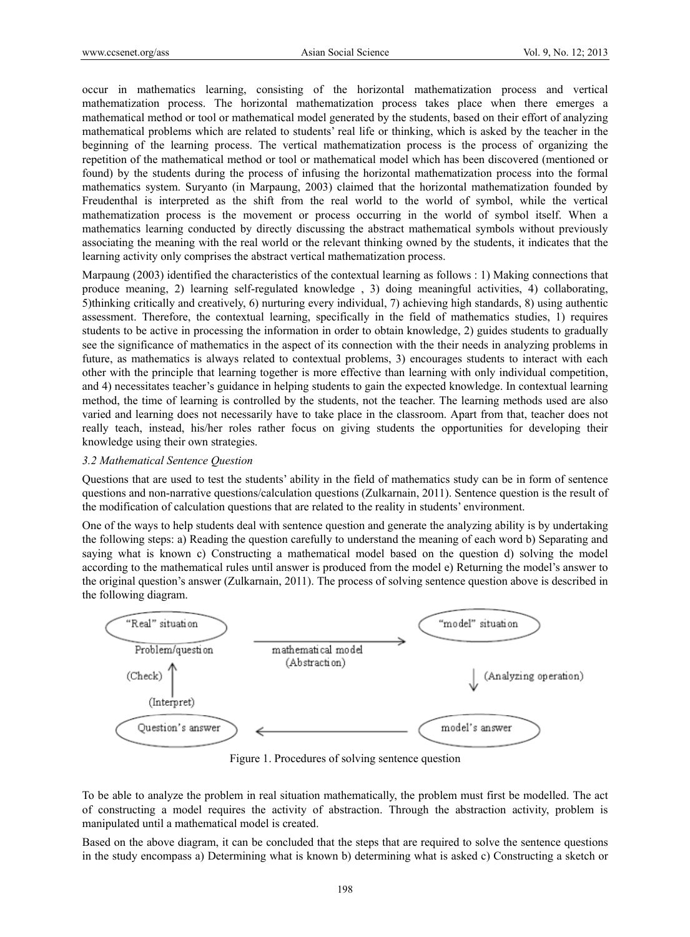occur in mathematics learning, consisting of the horizontal mathematization process and vertical mathematization process. The horizontal mathematization process takes place when there emerges a mathematical method or tool or mathematical model generated by the students, based on their effort of analyzing mathematical problems which are related to students' real life or thinking, which is asked by the teacher in the beginning of the learning process. The vertical mathematization process is the process of organizing the repetition of the mathematical method or tool or mathematical model which has been discovered (mentioned or found) by the students during the process of infusing the horizontal mathematization process into the formal mathematics system. Suryanto (in Marpaung, 2003) claimed that the horizontal mathematization founded by Freudenthal is interpreted as the shift from the real world to the world of symbol, while the vertical mathematization process is the movement or process occurring in the world of symbol itself. When a mathematics learning conducted by directly discussing the abstract mathematical symbols without previously associating the meaning with the real world or the relevant thinking owned by the students, it indicates that the learning activity only comprises the abstract vertical mathematization process.

Marpaung (2003) identified the characteristics of the contextual learning as follows : 1) Making connections that produce meaning, 2) learning self-regulated knowledge , 3) doing meaningful activities, 4) collaborating, 5)thinking critically and creatively, 6) nurturing every individual, 7) achieving high standards, 8) using authentic assessment. Therefore, the contextual learning, specifically in the field of mathematics studies, 1) requires students to be active in processing the information in order to obtain knowledge, 2) guides students to gradually see the significance of mathematics in the aspect of its connection with the their needs in analyzing problems in future, as mathematics is always related to contextual problems, 3) encourages students to interact with each other with the principle that learning together is more effective than learning with only individual competition, and 4) necessitates teacher's guidance in helping students to gain the expected knowledge. In contextual learning method, the time of learning is controlled by the students, not the teacher. The learning methods used are also varied and learning does not necessarily have to take place in the classroom. Apart from that, teacher does not really teach, instead, his/her roles rather focus on giving students the opportunities for developing their knowledge using their own strategies.

#### *3.2 Mathematical Sentence Question*

Questions that are used to test the students' ability in the field of mathematics study can be in form of sentence questions and non-narrative questions/calculation questions (Zulkarnain, 2011). Sentence question is the result of the modification of calculation questions that are related to the reality in students' environment.

One of the ways to help students deal with sentence question and generate the analyzing ability is by undertaking the following steps: a) Reading the question carefully to understand the meaning of each word b) Separating and saying what is known c) Constructing a mathematical model based on the question d) solving the model according to the mathematical rules until answer is produced from the model e) Returning the model's answer to the original question's answer (Zulkarnain, 2011). The process of solving sentence question above is described in the following diagram.



Figure 1. Procedures of solving sentence question

To be able to analyze the problem in real situation mathematically, the problem must first be modelled. The act of constructing a model requires the activity of abstraction. Through the abstraction activity, problem is manipulated until a mathematical model is created.

Based on the above diagram, it can be concluded that the steps that are required to solve the sentence questions in the study encompass a) Determining what is known b) determining what is asked c) Constructing a sketch or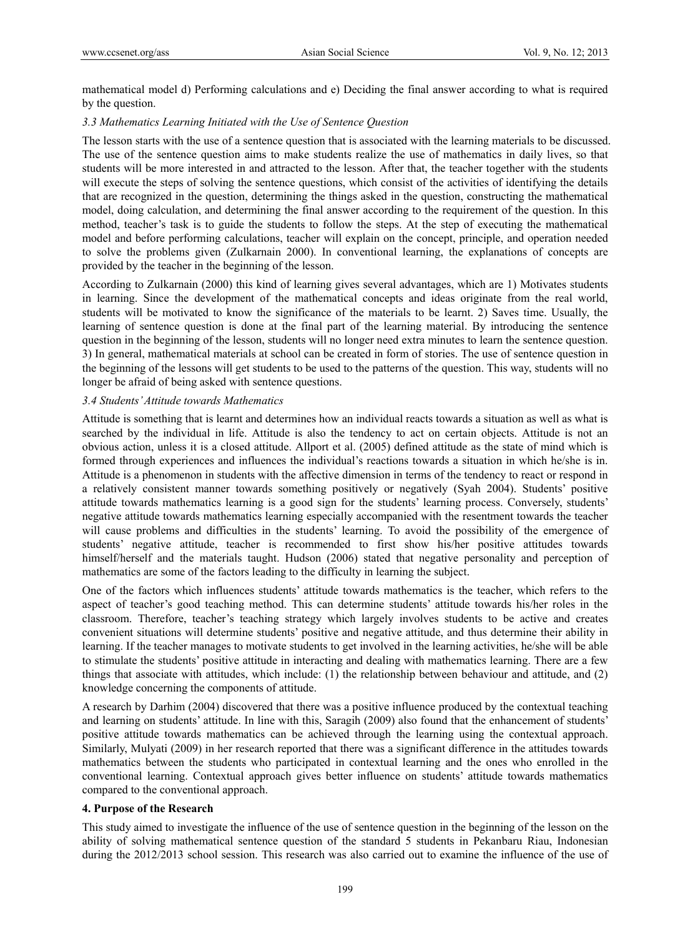mathematical model d) Performing calculations and e) Deciding the final answer according to what is required by the question.

# *3.3 Mathematics Learning Initiated with the Use of Sentence Question*

The lesson starts with the use of a sentence question that is associated with the learning materials to be discussed. The use of the sentence question aims to make students realize the use of mathematics in daily lives, so that students will be more interested in and attracted to the lesson. After that, the teacher together with the students will execute the steps of solving the sentence questions, which consist of the activities of identifying the details that are recognized in the question, determining the things asked in the question, constructing the mathematical model, doing calculation, and determining the final answer according to the requirement of the question. In this method, teacher's task is to guide the students to follow the steps. At the step of executing the mathematical model and before performing calculations, teacher will explain on the concept, principle, and operation needed to solve the problems given (Zulkarnain 2000). In conventional learning, the explanations of concepts are provided by the teacher in the beginning of the lesson.

According to Zulkarnain (2000) this kind of learning gives several advantages, which are 1) Motivates students in learning. Since the development of the mathematical concepts and ideas originate from the real world, students will be motivated to know the significance of the materials to be learnt. 2) Saves time. Usually, the learning of sentence question is done at the final part of the learning material. By introducing the sentence question in the beginning of the lesson, students will no longer need extra minutes to learn the sentence question. 3) In general, mathematical materials at school can be created in form of stories. The use of sentence question in the beginning of the lessons will get students to be used to the patterns of the question. This way, students will no longer be afraid of being asked with sentence questions.

# *3.4 Students' Attitude towards Mathematics*

Attitude is something that is learnt and determines how an individual reacts towards a situation as well as what is searched by the individual in life. Attitude is also the tendency to act on certain objects. Attitude is not an obvious action, unless it is a closed attitude. Allport et al. (2005) defined attitude as the state of mind which is formed through experiences and influences the individual's reactions towards a situation in which he/she is in. Attitude is a phenomenon in students with the affective dimension in terms of the tendency to react or respond in a relatively consistent manner towards something positively or negatively (Syah 2004). Students' positive attitude towards mathematics learning is a good sign for the students' learning process. Conversely, students' negative attitude towards mathematics learning especially accompanied with the resentment towards the teacher will cause problems and difficulties in the students' learning. To avoid the possibility of the emergence of students' negative attitude, teacher is recommended to first show his/her positive attitudes towards himself/herself and the materials taught. Hudson (2006) stated that negative personality and perception of mathematics are some of the factors leading to the difficulty in learning the subject.

One of the factors which influences students' attitude towards mathematics is the teacher, which refers to the aspect of teacher's good teaching method. This can determine students' attitude towards his/her roles in the classroom. Therefore, teacher's teaching strategy which largely involves students to be active and creates convenient situations will determine students' positive and negative attitude, and thus determine their ability in learning. If the teacher manages to motivate students to get involved in the learning activities, he/she will be able to stimulate the students' positive attitude in interacting and dealing with mathematics learning. There are a few things that associate with attitudes, which include: (1) the relationship between behaviour and attitude, and (2) knowledge concerning the components of attitude.

A research by Darhim (2004) discovered that there was a positive influence produced by the contextual teaching and learning on students' attitude. In line with this, Saragih (2009) also found that the enhancement of students' positive attitude towards mathematics can be achieved through the learning using the contextual approach. Similarly, Mulyati (2009) in her research reported that there was a significant difference in the attitudes towards mathematics between the students who participated in contextual learning and the ones who enrolled in the conventional learning. Contextual approach gives better influence on students' attitude towards mathematics compared to the conventional approach.

## **4. Purpose of the Research**

This study aimed to investigate the influence of the use of sentence question in the beginning of the lesson on the ability of solving mathematical sentence question of the standard 5 students in Pekanbaru Riau, Indonesian during the 2012/2013 school session. This research was also carried out to examine the influence of the use of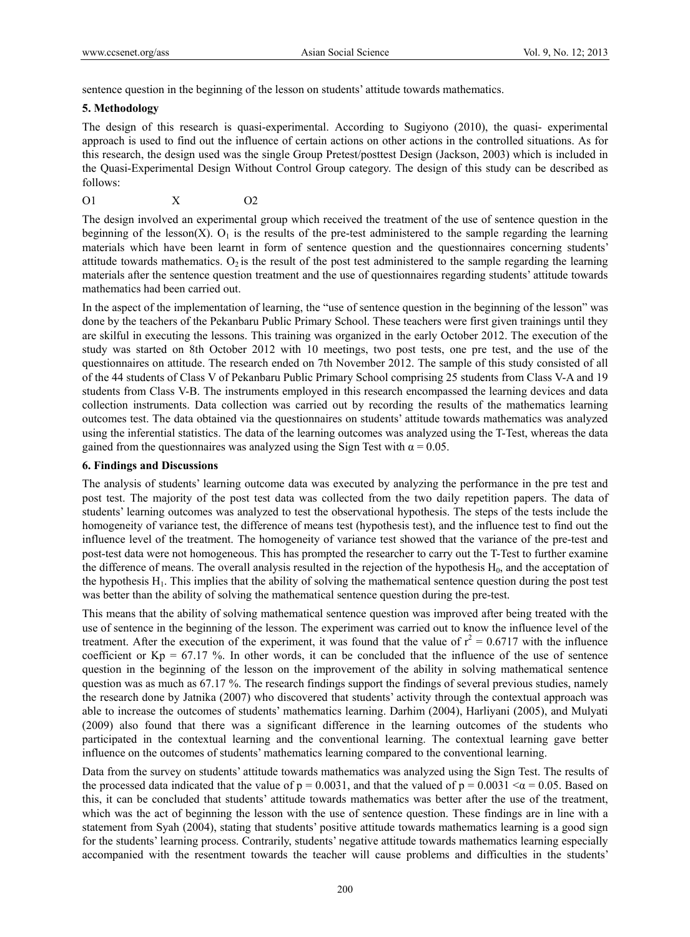sentence question in the beginning of the lesson on students' attitude towards mathematics.

#### **5. Methodology**

The design of this research is quasi-experimental. According to Sugiyono (2010), the quasi- experimental approach is used to find out the influence of certain actions on other actions in the controlled situations. As for this research, the design used was the single Group Pretest/posttest Design (Jackson, 2003) which is included in the Quasi-Experimental Design Without Control Group category. The design of this study can be described as follows:

## O1 X O2

The design involved an experimental group which received the treatment of the use of sentence question in the beginning of the lesson(X).  $O_1$  is the results of the pre-test administered to the sample regarding the learning materials which have been learnt in form of sentence question and the questionnaires concerning students' attitude towards mathematics.  $O_2$  is the result of the post test administered to the sample regarding the learning materials after the sentence question treatment and the use of questionnaires regarding students' attitude towards mathematics had been carried out.

In the aspect of the implementation of learning, the "use of sentence question in the beginning of the lesson" was done by the teachers of the Pekanbaru Public Primary School. These teachers were first given trainings until they are skilful in executing the lessons. This training was organized in the early October 2012. The execution of the study was started on 8th October 2012 with 10 meetings, two post tests, one pre test, and the use of the questionnaires on attitude. The research ended on 7th November 2012. The sample of this study consisted of all of the 44 students of Class V of Pekanbaru Public Primary School comprising 25 students from Class V-A and 19 students from Class V-B. The instruments employed in this research encompassed the learning devices and data collection instruments. Data collection was carried out by recording the results of the mathematics learning outcomes test. The data obtained via the questionnaires on students' attitude towards mathematics was analyzed using the inferential statistics. The data of the learning outcomes was analyzed using the T-Test, whereas the data gained from the questionnaires was analyzed using the Sign Test with  $\alpha = 0.05$ .

#### **6. Findings and Discussions**

The analysis of students' learning outcome data was executed by analyzing the performance in the pre test and post test. The majority of the post test data was collected from the two daily repetition papers. The data of students' learning outcomes was analyzed to test the observational hypothesis. The steps of the tests include the homogeneity of variance test, the difference of means test (hypothesis test), and the influence test to find out the influence level of the treatment. The homogeneity of variance test showed that the variance of the pre-test and post-test data were not homogeneous. This has prompted the researcher to carry out the T-Test to further examine the difference of means. The overall analysis resulted in the rejection of the hypothesis  $H_0$ , and the acceptation of the hypothesis  $H_1$ . This implies that the ability of solving the mathematical sentence question during the post test was better than the ability of solving the mathematical sentence question during the pre-test.

This means that the ability of solving mathematical sentence question was improved after being treated with the use of sentence in the beginning of the lesson. The experiment was carried out to know the influence level of the treatment. After the execution of the experiment, it was found that the value of  $r^2 = 0.6717$  with the influence coefficient or  $Kp = 67.17$ %. In other words, it can be concluded that the influence of the use of sentence question in the beginning of the lesson on the improvement of the ability in solving mathematical sentence question was as much as 67.17 %. The research findings support the findings of several previous studies, namely the research done by Jatnika (2007) who discovered that students' activity through the contextual approach was able to increase the outcomes of students' mathematics learning. Darhim (2004), Harliyani (2005), and Mulyati (2009) also found that there was a significant difference in the learning outcomes of the students who participated in the contextual learning and the conventional learning. The contextual learning gave better influence on the outcomes of students' mathematics learning compared to the conventional learning.

Data from the survey on students' attitude towards mathematics was analyzed using the Sign Test. The results of the processed data indicated that the value of  $p = 0.0031$ , and that the valued of  $p = 0.0031 < \alpha = 0.05$ . Based on this, it can be concluded that students' attitude towards mathematics was better after the use of the treatment, which was the act of beginning the lesson with the use of sentence question. These findings are in line with a statement from Syah (2004), stating that students' positive attitude towards mathematics learning is a good sign for the students' learning process. Contrarily, students' negative attitude towards mathematics learning especially accompanied with the resentment towards the teacher will cause problems and difficulties in the students'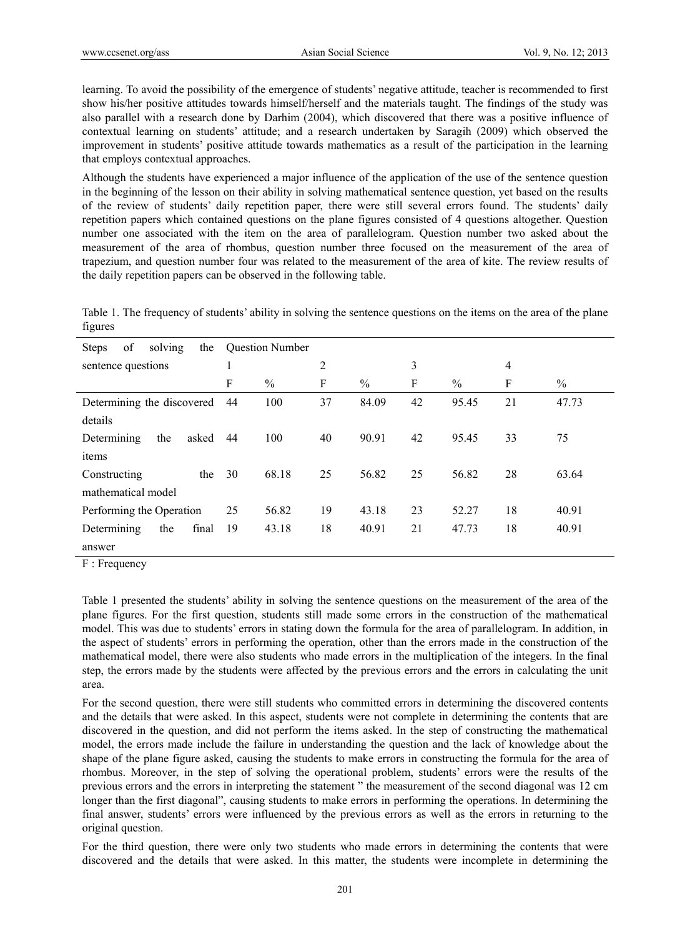learning. To avoid the possibility of the emergence of students' negative attitude, teacher is recommended to first show his/her positive attitudes towards himself/herself and the materials taught. The findings of the study was also parallel with a research done by Darhim (2004), which discovered that there was a positive influence of contextual learning on students' attitude; and a research undertaken by Saragih (2009) which observed the improvement in students' positive attitude towards mathematics as a result of the participation in the learning that employs contextual approaches.

Although the students have experienced a major influence of the application of the use of the sentence question in the beginning of the lesson on their ability in solving mathematical sentence question, yet based on the results of the review of students' daily repetition paper, there were still several errors found. The students' daily repetition papers which contained questions on the plane figures consisted of 4 questions altogether. Question number one associated with the item on the area of parallelogram. Question number two asked about the measurement of the area of rhombus, question number three focused on the measurement of the area of trapezium, and question number four was related to the measurement of the area of kite. The review results of the daily repetition papers can be observed in the following table.

Table 1. The frequency of students' ability in solving the sentence questions on the items on the area of the plane figures

| of<br>solving<br>the<br><b>Steps</b> |    | <b>Question Number</b> |                  |       |    |               |    |               |
|--------------------------------------|----|------------------------|------------------|-------|----|---------------|----|---------------|
| sentence questions                   | 1  |                        | 2                |       | 3  |               | 4  |               |
|                                      | F  | $\frac{0}{0}$          | $\boldsymbol{F}$ | $\%$  | F  | $\frac{0}{0}$ | F  | $\frac{0}{0}$ |
| Determining the discovered           | 44 | 100                    | 37               | 84.09 | 42 | 95.45         | 21 | 47.73         |
| details                              |    |                        |                  |       |    |               |    |               |
| Determining<br>the<br>asked          | 44 | 100                    | 40               | 90.91 | 42 | 95.45         | 33 | 75            |
| items                                |    |                        |                  |       |    |               |    |               |
| the<br>Constructing                  | 30 | 68.18                  | 25               | 56.82 | 25 | 56.82         | 28 | 63.64         |
| mathematical model                   |    |                        |                  |       |    |               |    |               |
| Performing the Operation             | 25 | 56.82                  | 19               | 43.18 | 23 | 52.27         | 18 | 40.91         |
| final<br>the<br>Determining          | 19 | 43.18                  | 18               | 40.91 | 21 | 47.73         | 18 | 40.91         |
| answer                               |    |                        |                  |       |    |               |    |               |

F : Frequency

Table 1 presented the students' ability in solving the sentence questions on the measurement of the area of the plane figures. For the first question, students still made some errors in the construction of the mathematical model. This was due to students' errors in stating down the formula for the area of parallelogram. In addition, in the aspect of students' errors in performing the operation, other than the errors made in the construction of the mathematical model, there were also students who made errors in the multiplication of the integers. In the final step, the errors made by the students were affected by the previous errors and the errors in calculating the unit area.

For the second question, there were still students who committed errors in determining the discovered contents and the details that were asked. In this aspect, students were not complete in determining the contents that are discovered in the question, and did not perform the items asked. In the step of constructing the mathematical model, the errors made include the failure in understanding the question and the lack of knowledge about the shape of the plane figure asked, causing the students to make errors in constructing the formula for the area of rhombus. Moreover, in the step of solving the operational problem, students' errors were the results of the previous errors and the errors in interpreting the statement " the measurement of the second diagonal was 12 cm longer than the first diagonal", causing students to make errors in performing the operations. In determining the final answer, students' errors were influenced by the previous errors as well as the errors in returning to the original question.

For the third question, there were only two students who made errors in determining the contents that were discovered and the details that were asked. In this matter, the students were incomplete in determining the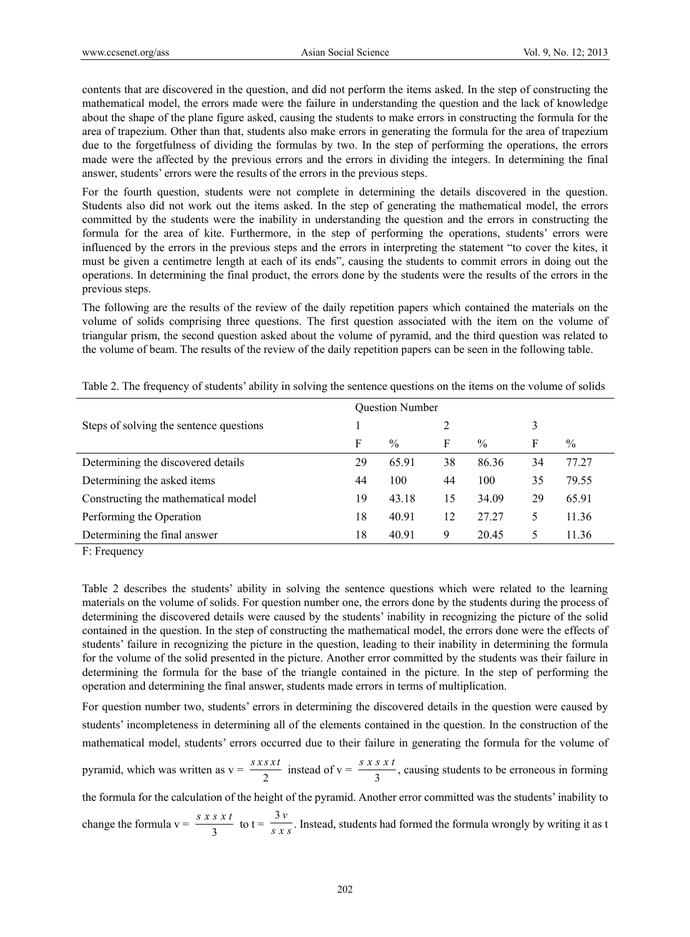contents that are discovered in the question, and did not perform the items asked. In the step of constructing the mathematical model, the errors made were the failure in understanding the question and the lack of knowledge about the shape of the plane figure asked, causing the students to make errors in constructing the formula for the area of trapezium. Other than that, students also make errors in generating the formula for the area of trapezium due to the forgetfulness of dividing the formulas by two. In the step of performing the operations, the errors made were the affected by the previous errors and the errors in dividing the integers. In determining the final answer, students' errors were the results of the errors in the previous steps.

For the fourth question, students were not complete in determining the details discovered in the question. Students also did not work out the items asked. In the step of generating the mathematical model, the errors committed by the students were the inability in understanding the question and the errors in constructing the formula for the area of kite. Furthermore, in the step of performing the operations, students' errors were influenced by the errors in the previous steps and the errors in interpreting the statement "to cover the kites, it must be given a centimetre length at each of its ends", causing the students to commit errors in doing out the operations. In determining the final product, the errors done by the students were the results of the errors in the previous steps.

The following are the results of the review of the daily repetition papers which contained the materials on the volume of solids comprising three questions. The first question associated with the item on the volume of triangular prism, the second question asked about the volume of pyramid, and the third question was related to the volume of beam. The results of the review of the daily repetition papers can be seen in the following table.

|                                         | <b>Question Number</b> |       |    |       |    |       |  |
|-----------------------------------------|------------------------|-------|----|-------|----|-------|--|
| Steps of solving the sentence questions |                        |       |    |       |    |       |  |
|                                         | F                      | $\%$  | F  | $\%$  | F  | $\%$  |  |
| Determining the discovered details      | 29                     | 65.91 | 38 | 86.36 | 34 | 77.27 |  |
| Determining the asked items             | 44                     | 100   | 44 | 100   | 35 | 79.55 |  |
| Constructing the mathematical model     | 19                     | 43.18 | 15 | 34.09 | 29 | 65.91 |  |
| Performing the Operation                | 18                     | 40.91 | 12 | 27 27 | 5  | 11.36 |  |
| Determining the final answer            | 18                     | 40.91 | 9  | 20.45 | 5  | 11.36 |  |

Table 2. The frequency of students' ability in solving the sentence questions on the items on the volume of solids

F: Frequency

Table 2 describes the students' ability in solving the sentence questions which were related to the learning materials on the volume of solids. For question number one, the errors done by the students during the process of determining the discovered details were caused by the students' inability in recognizing the picture of the solid contained in the question. In the step of constructing the mathematical model, the errors done were the effects of students' failure in recognizing the picture in the question, leading to their inability in determining the formula for the volume of the solid presented in the picture. Another error committed by the students was their failure in determining the formula for the base of the triangle contained in the picture. In the step of performing the operation and determining the final answer, students made errors in terms of multiplication.

For question number two, students' errors in determining the discovered details in the question were caused by students' incompleteness in determining all of the elements contained in the question. In the construction of the mathematical model, students' errors occurred due to their failure in generating the formula for the volume of

pyramid, which was written as  $v = \frac{s \times s \times t}{2}$  instead of  $v = \frac{s \times s}{3}$  $\frac{s \times s \times t}{s}$ , causing students to be erroneous in forming

the formula for the calculation of the height of the pyramid. Another error committed was the students' inability to

change the formula  $v = \frac{s \times s \times t}{3}$  to  $t = \frac{3v}{s \times s}$ . Instead, students had formed the formula wrongly by writing it as t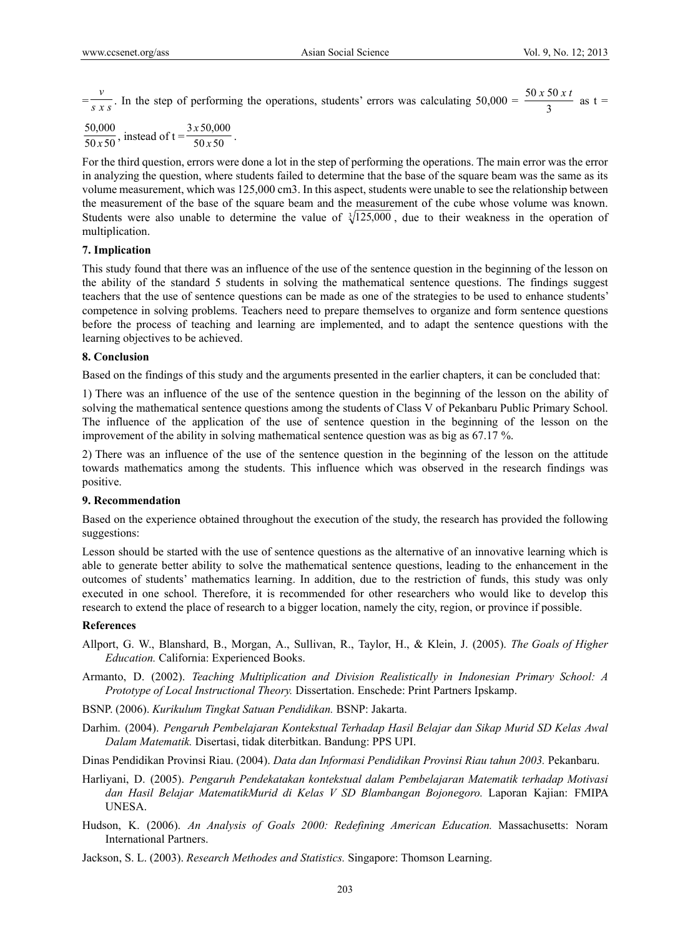$=\frac{v}{s}$ . In the step of performing the operations, students' errors was calculating 50,000 =  $\frac{50 \times 50 \times t}{3}$  as t =

 $50 x 50$  $\frac{50,000}{50 \times 50}$ , instead of t =  $\frac{3 \times 50,000}{50 \times 50}$  $\frac{x\,50,000}{50\,x\,50}$ .

For the third question, errors were done a lot in the step of performing the operations. The main error was the error in analyzing the question, where students failed to determine that the base of the square beam was the same as its volume measurement, which was 125,000 cm3. In this aspect, students were unable to see the relationship between the measurement of the base of the square beam and the measurement of the cube whose volume was known. Students were also unable to determine the value of  $\sqrt[3]{125,000}$ , due to their weakness in the operation of multiplication.

## **7. Implication**

This study found that there was an influence of the use of the sentence question in the beginning of the lesson on the ability of the standard 5 students in solving the mathematical sentence questions. The findings suggest teachers that the use of sentence questions can be made as one of the strategies to be used to enhance students' competence in solving problems. Teachers need to prepare themselves to organize and form sentence questions before the process of teaching and learning are implemented, and to adapt the sentence questions with the learning objectives to be achieved.

#### **8. Conclusion**

Based on the findings of this study and the arguments presented in the earlier chapters, it can be concluded that:

1) There was an influence of the use of the sentence question in the beginning of the lesson on the ability of solving the mathematical sentence questions among the students of Class V of Pekanbaru Public Primary School. The influence of the application of the use of sentence question in the beginning of the lesson on the improvement of the ability in solving mathematical sentence question was as big as 67.17 %.

2) There was an influence of the use of the sentence question in the beginning of the lesson on the attitude towards mathematics among the students. This influence which was observed in the research findings was positive.

## **9. Recommendation**

Based on the experience obtained throughout the execution of the study, the research has provided the following suggestions:

Lesson should be started with the use of sentence questions as the alternative of an innovative learning which is able to generate better ability to solve the mathematical sentence questions, leading to the enhancement in the outcomes of students' mathematics learning. In addition, due to the restriction of funds, this study was only executed in one school. Therefore, it is recommended for other researchers who would like to develop this research to extend the place of research to a bigger location, namely the city, region, or province if possible.

#### **References**

- Allport, G. W., Blanshard, B., Morgan, A., Sullivan, R., Taylor, H., & Klein, J. (2005). *The Goals of Higher Education.* California: Experienced Books.
- Armanto, D. (2002). *Teaching Multiplication and Division Realistically in Indonesian Primary School: A Prototype of Local Instructional Theory.* Dissertation. Enschede: Print Partners Ipskamp.
- BSNP. (2006). *Kurikulum Tingkat Satuan Pendidikan.* BSNP: Jakarta.
- Darhim. (2004). *Pengaruh Pembelajaran Kontekstual Terhadap Hasil Belajar dan Sikap Murid SD Kelas Awal Dalam Matematik.* Disertasi, tidak diterbitkan. Bandung: PPS UPI.

Dinas Pendidikan Provinsi Riau. (2004). *Data dan Informasi Pendidikan Provinsi Riau tahun 2003.* Pekanbaru.

- Harliyani, D. (2005). *Pengaruh Pendekatakan kontekstual dalam Pembelajaran Matematik terhadap Motivasi dan Hasil Belajar MatematikMurid di Kelas V SD Blambangan Bojonegoro.* Laporan Kajian: FMIPA UNESA.
- Hudson, K. (2006). *An Analysis of Goals 2000: Redefining American Education.* Massachusetts: Noram International Partners.
- Jackson, S. L. (2003). *Research Methodes and Statistics.* Singapore: Thomson Learning.